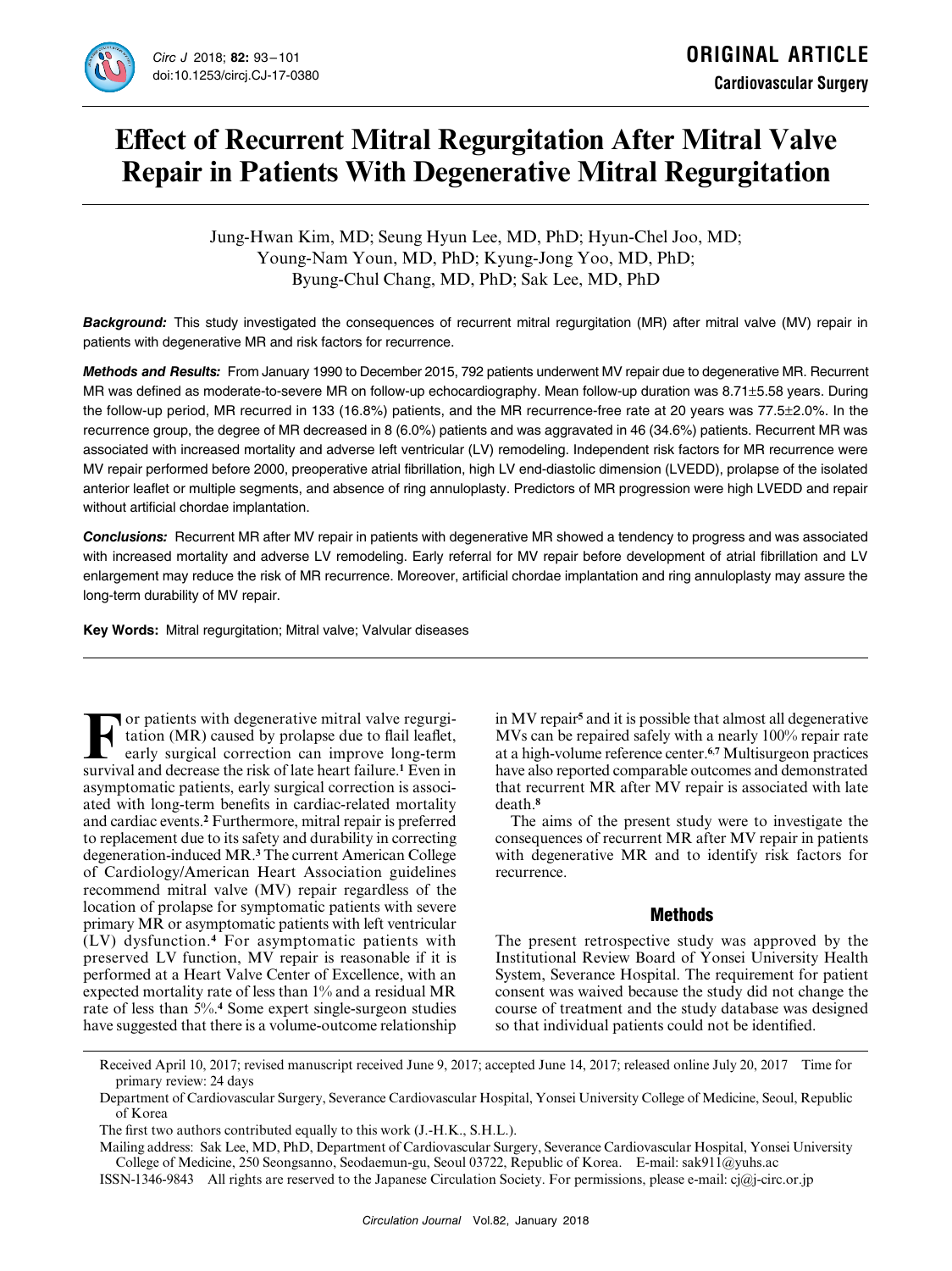# **Effect of Recurrent Mitral Regurgitation After Mitral Valve Repair in Patients With Degenerative Mitral Regurgitation**

Jung-Hwan Kim, MD; Seung Hyun Lee, MD, PhD; Hyun-Chel Joo, MD; Young-Nam Youn, MD, PhD; Kyung-Jong Yoo, MD, PhD; Byung-Chul Chang, MD, PhD; Sak Lee, MD, PhD

*Background:* This study investigated the consequences of recurrent mitral regurgitation (MR) after mitral valve (MV) repair in patients with degenerative MR and risk factors for recurrence.

*Methods and Results:* From January 1990 to December 2015, 792 patients underwent MV repair due to degenerative MR. Recurrent MR was defined as moderate-to-severe MR on follow-up echocardiography. Mean follow-up duration was 8.71±5.58 years. During the follow-up period, MR recurred in 133 (16.8%) patients, and the MR recurrence-free rate at 20 years was 77.5±2.0%. In the recurrence group, the degree of MR decreased in 8 (6.0%) patients and was aggravated in 46 (34.6%) patients. Recurrent MR was associated with increased mortality and adverse left ventricular (LV) remodeling. Independent risk factors for MR recurrence were MV repair performed before 2000, preoperative atrial fibrillation, high LV end-diastolic dimension (LVEDD), prolapse of the isolated anterior leaflet or multiple segments, and absence of ring annuloplasty. Predictors of MR progression were high LVEDD and repair without artificial chordae implantation.

*Conclusions:* Recurrent MR after MV repair in patients with degenerative MR showed a tendency to progress and was associated with increased mortality and adverse LV remodeling. Early referral for MV repair before development of atrial fibrillation and LV enlargement may reduce the risk of MR recurrence. Moreover, artificial chordae implantation and ring annuloplasty may assure the long-term durability of MV repair.

**Key Words:** Mitral regurgitation; Mitral valve; Valvular diseases

**For** patients with degenerative mitral valve regurgitation (MR) caused by prolapse due to flail leaflet, early surgical correction can improve long-term survival and decrease the risk of late heart failure.<sup>1</sup> Even in tation (MR) caused by prolapse due to flail leaflet, survival and decrease the risk of late heart failure.**<sup>1</sup>** Even in asymptomatic patients, early surgical correction is associated with long-term benefits in cardiac-related mortality and cardiac events.**<sup>2</sup>** Furthermore, mitral repair is preferred to replacement due to its safety and durability in correcting degeneration-induced MR.**<sup>3</sup>** The current American College of Cardiology/American Heart Association guidelines recommend mitral valve (MV) repair regardless of the location of prolapse for symptomatic patients with severe primary MR or asymptomatic patients with left ventricular (LV) dysfunction.**<sup>4</sup>** For asymptomatic patients with preserved LV function, MV repair is reasonable if it is performed at a Heart Valve Center of Excellence, with an expected mortality rate of less than 1% and a residual MR rate of less than 5%.**<sup>4</sup>** Some expert single-surgeon studies have suggested that there is a volume-outcome relationship

in MV repair**<sup>5</sup>** and it is possible that almost all degenerative MVs can be repaired safely with a nearly 100% repair rate at a high-volume reference center.**<sup>6</sup>**,**<sup>7</sup>** Multisurgeon practices have also reported comparable outcomes and demonstrated that recurrent MR after MV repair is associated with late death.**<sup>8</sup>**

The aims of the present study were to investigate the consequences of recurrent MR after MV repair in patients with degenerative MR and to identify risk factors for recurrence.

# **Methods**

The present retrospective study was approved by the Institutional Review Board of Yonsei University Health System, Severance Hospital. The requirement for patient consent was waived because the study did not change the course of treatment and the study database was designed so that individual patients could not be identified.

Received April 10, 2017; revised manuscript received June 9, 2017; accepted June 14, 2017; released online July 20, 2017 Time for primary review: 24 days

Department of Cardiovascular Surgery, Severance Cardiovascular Hospital, Yonsei University College of Medicine, Seoul, Republic of Korea

The first two authors contributed equally to this work (J.-H.K., S.H.L.).

Mailing address: Sak Lee, MD, PhD, Department of Cardiovascular Surgery, Severance Cardiovascular Hospital, Yonsei University College of Medicine, 250 Seongsanno, Seodaemun-gu, Seoul 03722, Republic of Korea. E-mail: sak911@yuhs.ac

ISSN-1346-9843 All rights are reserved to the Japanese Circulation Society. For permissions, please e-mail: cj@j-circ.or.jp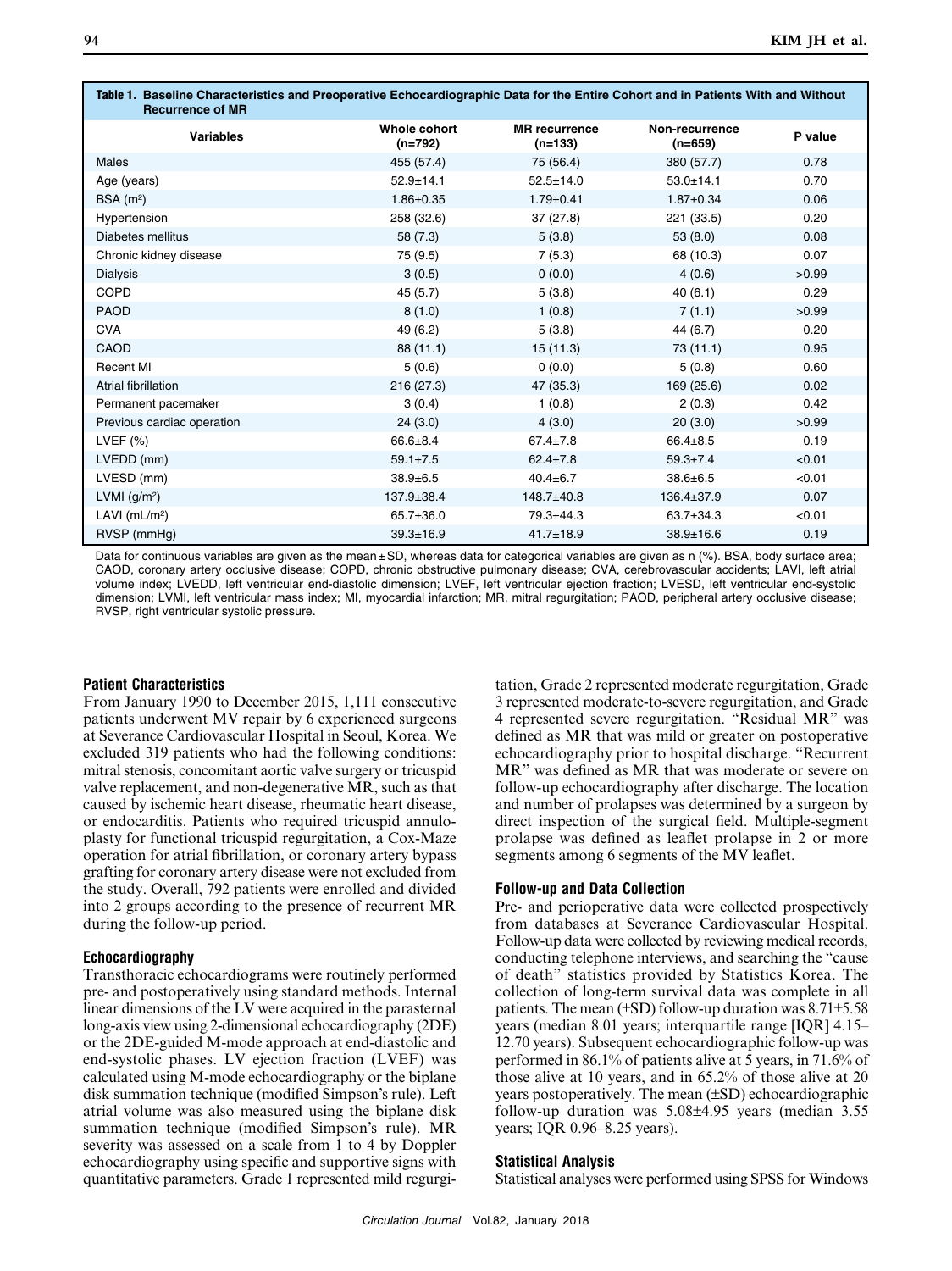| Table 1. Baseline Characteristics and Preoperative Echocardiographic Data for the Entire Cohort and in Patients With and Without<br><b>Recurrence of MR</b> |                           |                                   |                             |         |  |
|-------------------------------------------------------------------------------------------------------------------------------------------------------------|---------------------------|-----------------------------------|-----------------------------|---------|--|
| <b>Variables</b>                                                                                                                                            | Whole cohort<br>$(n=792)$ | <b>MR</b> recurrence<br>$(n=133)$ | Non-recurrence<br>$(n=659)$ | P value |  |
| <b>Males</b>                                                                                                                                                | 455 (57.4)                | 75 (56.4)                         | 380 (57.7)                  | 0.78    |  |
| Age (years)                                                                                                                                                 | $52.9 + 14.1$             | $52.5 \pm 14.0$                   | $53.0 + 14.1$               | 0.70    |  |
| BSA(m <sup>2</sup> )                                                                                                                                        | $1.86 \pm 0.35$           | $1.79 \pm 0.41$                   | $1.87 \pm 0.34$             | 0.06    |  |
| Hypertension                                                                                                                                                | 258 (32.6)                | 37(27.8)                          | 221 (33.5)                  | 0.20    |  |
| Diabetes mellitus                                                                                                                                           | 58 (7.3)                  | 5(3.8)                            | 53(8.0)                     | 0.08    |  |
| Chronic kidney disease                                                                                                                                      | 75 (9.5)                  | 7(5.3)                            | 68 (10.3)                   | 0.07    |  |
| Dialysis                                                                                                                                                    | 3(0.5)                    | 0(0.0)                            | 4(0.6)                      | >0.99   |  |
| COPD                                                                                                                                                        | 45(5.7)                   | 5(3.8)                            | 40(6.1)                     | 0.29    |  |
| <b>PAOD</b>                                                                                                                                                 | 8(1.0)                    | 1(0.8)                            | 7(1.1)                      | >0.99   |  |
| <b>CVA</b>                                                                                                                                                  | 49(6.2)                   | 5(3.8)                            | 44 (6.7)                    | 0.20    |  |
| CAOD                                                                                                                                                        | 88 (11.1)                 | 15(11.3)                          | 73 (11.1)                   | 0.95    |  |
| <b>Recent MI</b>                                                                                                                                            | 5(0.6)                    | 0(0.0)                            | 5(0.8)                      | 0.60    |  |
| Atrial fibrillation                                                                                                                                         | 216(27.3)                 | 47 (35.3)                         | 169 (25.6)                  | 0.02    |  |
| Permanent pacemaker                                                                                                                                         | 3(0.4)                    | 1(0.8)                            | 2(0.3)                      | 0.42    |  |
| Previous cardiac operation                                                                                                                                  | 24(3.0)                   | 4(3.0)                            | 20(3.0)                     | >0.99   |  |
| LVEF $(%)$                                                                                                                                                  | $66.6 \pm 8.4$            | $67.4 \pm 7.8$                    | $66.4 \pm 8.5$              | 0.19    |  |
| LVEDD (mm)                                                                                                                                                  | $59.1 \pm 7.5$            | $62.4 \pm 7.8$                    | $59.3 \pm 7.4$              | < 0.01  |  |
| LVESD (mm)                                                                                                                                                  | $38.9 + 6.5$              | $40.4 \pm 6.7$                    | $38.6 + 6.5$                | < 0.01  |  |
| LVMI $(g/m2)$                                                                                                                                               | 137.9±38.4                | $148.7 + 40.8$                    | 136.4±37.9                  | 0.07    |  |
| LAVI ( $mL/m2$ )                                                                                                                                            | 65.7±36.0                 | $79.3 \pm 44.3$                   | $63.7 \pm 34.3$             | < 0.01  |  |
| RVSP (mmHq)                                                                                                                                                 | $39.3 \pm 16.9$           | $41.7 \pm 18.9$                   | $38.9 \pm 16.6$             | 0.19    |  |

Data for continuous variables are given as the mean±SD, whereas data for categorical variables are given as n (%). BSA, body surface area; CAOD, coronary artery occlusive disease; COPD, chronic obstructive pulmonary disease; CVA, cerebrovascular accidents; LAVI, left atrial volume index; LVEDD, left ventricular end-diastolic dimension; LVEF, left ventricular ejection fraction; LVESD, left ventricular end-systolic dimension; LVMI, left ventricular mass index; MI, myocardial infarction; MR, mitral regurgitation; PAOD, peripheral artery occlusive disease; RVSP, right ventricular systolic pressure.

# **Patient Characteristics**

From January 1990 to December 2015, 1,111 consecutive patients underwent MV repair by 6 experienced surgeons at Severance Cardiovascular Hospital in Seoul, Korea. We excluded 319 patients who had the following conditions: mitral stenosis, concomitant aortic valve surgery or tricuspid valve replacement, and non-degenerative MR, such as that caused by ischemic heart disease, rheumatic heart disease, or endocarditis. Patients who required tricuspid annuloplasty for functional tricuspid regurgitation, a Cox-Maze operation for atrial fibrillation, or coronary artery bypass grafting for coronary artery disease were not excluded from the study. Overall, 792 patients were enrolled and divided into 2 groups according to the presence of recurrent MR during the follow-up period.

# **Echocardiography**

Transthoracic echocardiograms were routinely performed pre- and postoperatively using standard methods. Internal linear dimensions of the LV were acquired in the parasternal long-axis view using 2-dimensional echocardiography (2DE) or the 2DE-guided M-mode approach at end-diastolic and end-systolic phases. LV ejection fraction (LVEF) was calculated using M-mode echocardiography or the biplane disk summation technique (modified Simpson's rule). Left atrial volume was also measured using the biplane disk summation technique (modified Simpson's rule). MR severity was assessed on a scale from 1 to 4 by Doppler echocardiography using specific and supportive signs with quantitative parameters. Grade 1 represented mild regurgitation, Grade 2 represented moderate regurgitation, Grade 3 represented moderate-to-severe regurgitation, and Grade 4 represented severe regurgitation. "Residual MR" was defined as MR that was mild or greater on postoperative echocardiography prior to hospital discharge. "Recurrent MR" was defined as MR that was moderate or severe on follow-up echocardiography after discharge. The location and number of prolapses was determined by a surgeon by direct inspection of the surgical field. Multiple-segment prolapse was defined as leaflet prolapse in 2 or more segments among 6 segments of the MV leaflet.

## **Follow-up and Data Collection**

Pre- and perioperative data were collected prospectively from databases at Severance Cardiovascular Hospital. Follow-up data were collected by reviewing medical records, conducting telephone interviews, and searching the "cause of death" statistics provided by Statistics Korea. The collection of long-term survival data was complete in all patients. The mean (±SD) follow-up duration was 8.71±5.58 years (median 8.01 years; interquartile range [IQR] 4.15– 12.70 years). Subsequent echocardiographic follow-up was performed in 86.1% of patients alive at 5 years, in 71.6% of those alive at 10 years, and in 65.2% of those alive at 20 years postoperatively. The mean (±SD) echocardiographic follow-up duration was 5.08±4.95 years (median 3.55 years; IQR 0.96–8.25 years).

# **Statistical Analysis**

Statistical analyses were performed using SPSS for Windows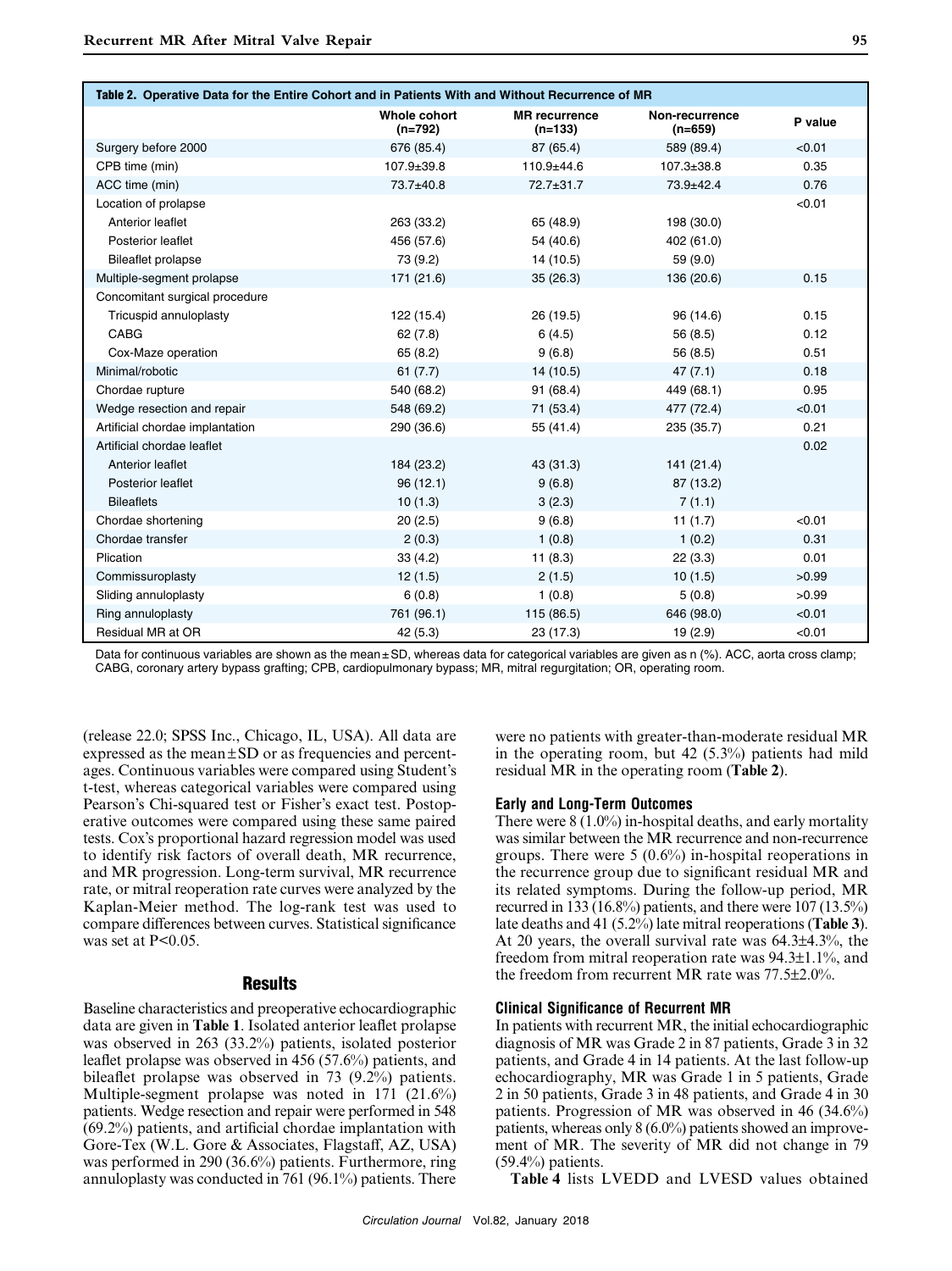| Table 2. Operative Data for the Entire Cohort and in Patients With and Without Recurrence of MR |                           |                                   |                             |         |  |
|-------------------------------------------------------------------------------------------------|---------------------------|-----------------------------------|-----------------------------|---------|--|
|                                                                                                 | Whole cohort<br>$(n=792)$ | <b>MR</b> recurrence<br>$(n=133)$ | Non-recurrence<br>$(n=659)$ | P value |  |
| Surgery before 2000                                                                             | 676 (85.4)                | 87 (65.4)                         | 589 (89.4)                  | < 0.01  |  |
| CPB time (min)                                                                                  | 107.9±39.8                | $110.9 + 44.6$                    | $107.3 \pm 38.8$            | 0.35    |  |
| ACC time (min)                                                                                  | 73.7±40.8                 | $72.7 \pm 31.7$                   | $73.9 + 42.4$               | 0.76    |  |
| Location of prolapse                                                                            |                           |                                   |                             | < 0.01  |  |
| Anterior leaflet                                                                                | 263 (33.2)                | 65 (48.9)                         | 198 (30.0)                  |         |  |
| Posterior leaflet                                                                               | 456 (57.6)                | 54 (40.6)                         | 402 (61.0)                  |         |  |
| <b>Bileaflet prolapse</b>                                                                       | 73 (9.2)                  | 14 (10.5)                         | 59(9.0)                     |         |  |
| Multiple-segment prolapse                                                                       | 171 (21.6)                | 35(26.3)                          | 136 (20.6)                  | 0.15    |  |
| Concomitant surgical procedure                                                                  |                           |                                   |                             |         |  |
| Tricuspid annuloplasty                                                                          | 122 (15.4)                | 26 (19.5)                         | 96 (14.6)                   | 0.15    |  |
| <b>CABG</b>                                                                                     | 62(7.8)                   | 6(4.5)                            | 56 (8.5)                    | 0.12    |  |
| Cox-Maze operation                                                                              | 65(8.2)                   | 9(6.8)                            | 56 (8.5)                    | 0.51    |  |
| Minimal/robotic                                                                                 | 61(7.7)                   | 14(10.5)                          | 47(7.1)                     | 0.18    |  |
| Chordae rupture                                                                                 | 540 (68.2)                | 91 (68.4)                         | 449 (68.1)                  | 0.95    |  |
| Wedge resection and repair                                                                      | 548 (69.2)                | 71 (53.4)                         | 477 (72.4)                  | < 0.01  |  |
| Artificial chordae implantation                                                                 | 290 (36.6)                | 55 (41.4)                         | 235 (35.7)                  | 0.21    |  |
| Artificial chordae leaflet                                                                      |                           |                                   |                             | 0.02    |  |
| Anterior leaflet                                                                                | 184 (23.2)                | 43 (31.3)                         | 141 (21.4)                  |         |  |
| Posterior leaflet                                                                               | 96(12.1)                  | 9(6.8)                            | 87 (13.2)                   |         |  |
| <b>Bileaflets</b>                                                                               | 10(1.3)                   | 3(2.3)                            | 7(1.1)                      |         |  |
| Chordae shortening                                                                              | 20(2.5)                   | 9(6.8)                            | 11(1.7)                     | < 0.01  |  |
| Chordae transfer                                                                                | 2(0.3)                    | 1(0.8)                            | 1(0.2)                      | 0.31    |  |
| Plication                                                                                       | 33(4.2)                   | 11(8.3)                           | 22(3.3)                     | 0.01    |  |
| Commissuroplasty                                                                                | 12(1.5)                   | 2(1.5)                            | 10(1.5)                     | >0.99   |  |
| Sliding annuloplasty                                                                            | 6(0.8)                    | 1(0.8)                            | 5(0.8)                      | >0.99   |  |
| Ring annuloplasty                                                                               | 761 (96.1)                | 115 (86.5)                        | 646 (98.0)                  | < 0.01  |  |
| Residual MR at OR                                                                               | 42 (5.3)                  | 23 (17.3)                         | 19(2.9)                     | < 0.01  |  |

Data for continuous variables are shown as the mean $\pm$ SD, whereas data for categorical variables are given as n (%). ACC, aorta cross clamp; CABG, coronary artery bypass grafting; CPB, cardiopulmonary bypass; MR, mitral regurgitation; OR, operating room.

(release 22.0; SPSS Inc., Chicago, IL, USA). All data are expressed as the mean $\pm$ SD or as frequencies and percentages. Continuous variables were compared using Student's t-test, whereas categorical variables were compared using Pearson's Chi-squared test or Fisher's exact test. Postoperative outcomes were compared using these same paired tests. Cox's proportional hazard regression model was used to identify risk factors of overall death, MR recurrence, and MR progression. Long-term survival, MR recurrence rate, or mitral reoperation rate curves were analyzed by the Kaplan-Meier method. The log-rank test was used to compare differences between curves. Statistical significance was set at P<0.05.

# **Results**

Baseline characteristics and preoperative echocardiographic data are given in **Table 1**. Isolated anterior leaflet prolapse was observed in 263 (33.2%) patients, isolated posterior leaflet prolapse was observed in 456 (57.6%) patients, and bileaflet prolapse was observed in 73 (9.2%) patients. Multiple-segment prolapse was noted in 171 (21.6%) patients. Wedge resection and repair were performed in 548 (69.2%) patients, and artificial chordae implantation with Gore-Tex (W.L. Gore & Associates, Flagstaff, AZ, USA) was performed in 290 (36.6%) patients. Furthermore, ring annuloplasty was conducted in 761 (96.1%) patients. There were no patients with greater-than-moderate residual MR in the operating room, but 42 (5.3%) patients had mild residual MR in the operating room (**Table 2**).

# **Early and Long-Term Outcomes**

There were 8 (1.0%) in-hospital deaths, and early mortality was similar between the MR recurrence and non-recurrence groups. There were  $5(0.6\%)$  in-hospital reoperations in the recurrence group due to significant residual MR and its related symptoms. During the follow-up period, MR recurred in 133 (16.8%) patients, and there were 107 (13.5%) late deaths and 41 (5.2%) late mitral reoperations (**Table 3**). At 20 years, the overall survival rate was 64.3±4.3%, the freedom from mitral reoperation rate was 94.3±1.1%, and the freedom from recurrent MR rate was 77.5±2.0%.

# **Clinical Significance of Recurrent MR**

In patients with recurrent MR, the initial echocardiographic diagnosis of MR was Grade 2 in 87 patients, Grade 3 in 32 patients, and Grade 4 in 14 patients. At the last follow-up echocardiography, MR was Grade 1 in 5 patients, Grade 2 in 50 patients, Grade 3 in 48 patients, and Grade 4 in 30 patients. Progression of MR was observed in 46 (34.6%) patients, whereas only 8 (6.0%) patients showed an improvement of MR. The severity of MR did not change in 79  $(59.4\%)$  patients.

**Table 4** lists LVEDD and LVESD values obtained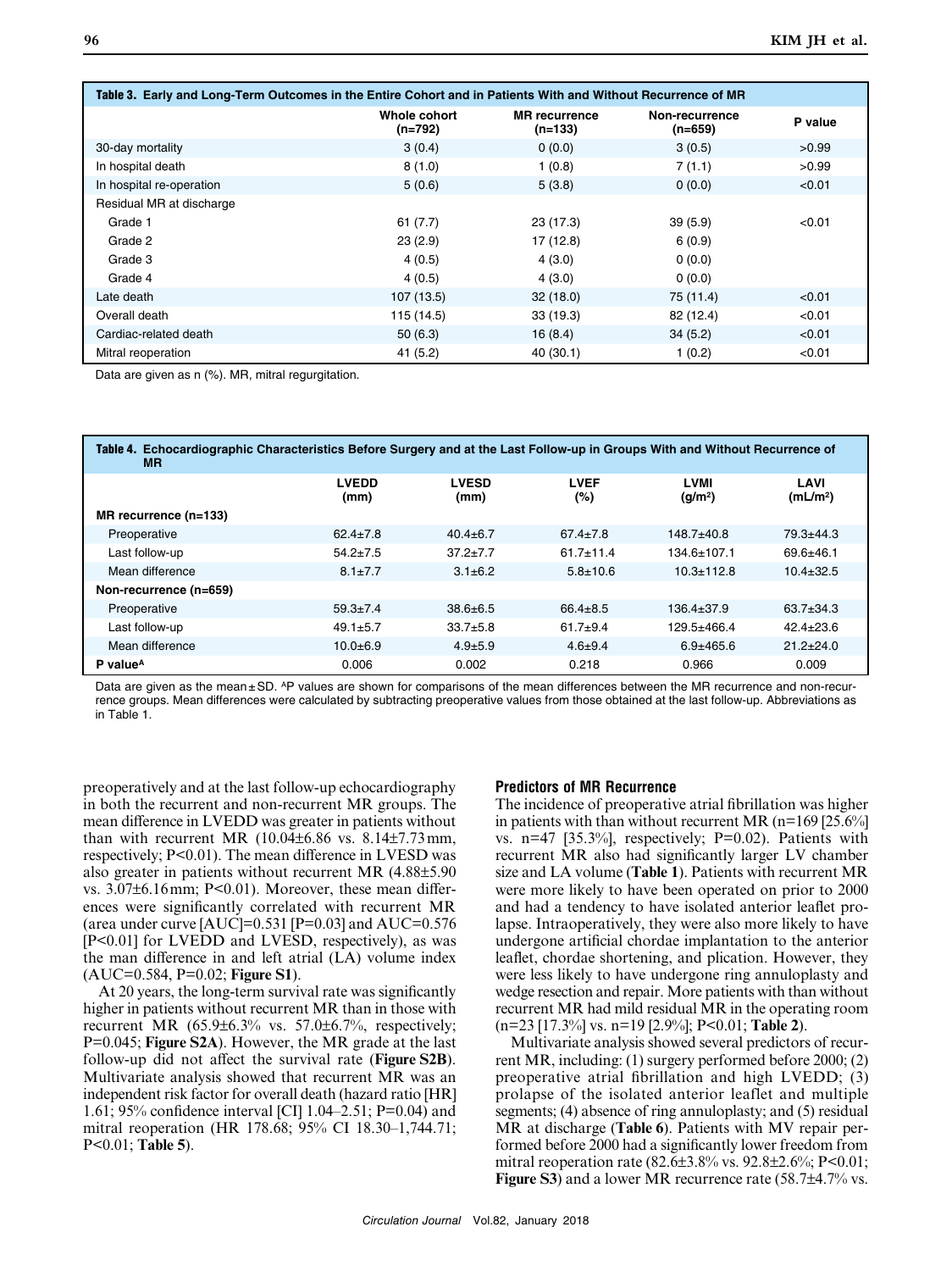| Table 3. Early and Long-Term Outcomes in the Entire Cohort and in Patients With and Without Recurrence of MR |                           |                                   |                             |         |  |
|--------------------------------------------------------------------------------------------------------------|---------------------------|-----------------------------------|-----------------------------|---------|--|
|                                                                                                              | Whole cohort<br>$(n=792)$ | <b>MR</b> recurrence<br>$(n=133)$ | Non-recurrence<br>$(n=659)$ | P value |  |
| 30-day mortality                                                                                             | 3(0.4)                    | 0(0.0)                            | 3(0.5)                      | >0.99   |  |
| In hospital death                                                                                            | 8(1.0)                    | 1(0.8)                            | 7(1.1)                      | >0.99   |  |
| In hospital re-operation                                                                                     | 5(0.6)                    | 5(3.8)                            | 0(0.0)                      | < 0.01  |  |
| Residual MR at discharge                                                                                     |                           |                                   |                             |         |  |
| Grade 1                                                                                                      | 61(7.7)                   | 23 (17.3)                         | 39(5.9)                     | < 0.01  |  |
| Grade 2                                                                                                      | 23(2.9)                   | 17 (12.8)                         | 6(0.9)                      |         |  |
| Grade 3                                                                                                      | 4(0.5)                    | 4(3.0)                            | 0(0.0)                      |         |  |
| Grade 4                                                                                                      | 4(0.5)                    | 4(3.0)                            | 0(0.0)                      |         |  |
| Late death                                                                                                   | 107(13.5)                 | 32(18.0)                          | 75 (11.4)                   | < 0.01  |  |
| Overall death                                                                                                | 115 (14.5)                | 33(19.3)                          | 82 (12.4)                   | < 0.01  |  |
| Cardiac-related death                                                                                        | 50(6.3)                   | 16(8.4)                           | 34(5.2)                     | < 0.01  |  |
| Mitral reoperation                                                                                           | 41(5.2)                   | 40(30.1)                          | 1(0.2)                      | < 0.01  |  |

Data are given as n (%). MR, mitral regurgitation.

| Table 4. Echocardiographic Characteristics Before Surgery and at the Last Follow-up in Groups With and Without Recurrence of<br><b>MR</b> |                      |                      |                    |                             |                              |  |
|-------------------------------------------------------------------------------------------------------------------------------------------|----------------------|----------------------|--------------------|-----------------------------|------------------------------|--|
|                                                                                                                                           | <b>LVEDD</b><br>(mm) | <b>LVESD</b><br>(mm) | <b>LVEF</b><br>(%) | LVMI<br>(q/m <sup>2</sup> ) | LAVI<br>(mL/m <sup>2</sup> ) |  |
| MR recurrence (n=133)                                                                                                                     |                      |                      |                    |                             |                              |  |
| Preoperative                                                                                                                              | $62.4 \pm 7.8$       | $40.4 \pm 6.7$       | $67.4 \pm 7.8$     | $148.7 + 40.8$              | $79.3 + 44.3$                |  |
| Last follow-up                                                                                                                            | $54.2 \pm 7.5$       | $37.2 + 7.7$         | $61.7 + 11.4$      | $134.6 \pm 107.1$           | $69.6 + 46.1$                |  |
| Mean difference                                                                                                                           | $8.1 \pm 7.7$        | $3.1 \pm 6.2$        | $5.8 + 10.6$       | $10.3 + 112.8$              | $10.4 \pm 32.5$              |  |
| Non-recurrence (n=659)                                                                                                                    |                      |                      |                    |                             |                              |  |
| Preoperative                                                                                                                              | $59.3 \pm 7.4$       | $38.6 \pm 6.5$       | $66.4 + 8.5$       | $136.4 \pm 37.9$            | $63.7 + 34.3$                |  |
| Last follow-up                                                                                                                            | $49.1 \pm 5.7$       | $33.7 + 5.8$         | $61.7 + 9.4$       | $129.5 + 466.4$             | $42.4 + 23.6$                |  |
| Mean difference                                                                                                                           | $10.0 + 6.9$         | $4.9 \pm 5.9$        | $4.6 + 9.4$        | $6.9 + 465.6$               | $21.2 + 24.0$                |  |
| P value <sup>A</sup>                                                                                                                      | 0.006                | 0.002                | 0.218              | 0.966                       | 0.009                        |  |

Data are given as the mean±SD. <sup>A</sup>P values are shown for comparisons of the mean differences between the MR recurrence and non-recurrence groups. Mean differences were calculated by subtracting preoperative values from those obtained at the last follow-up. Abbreviations as in Table 1.

preoperatively and at the last follow-up echocardiography in both the recurrent and non-recurrent MR groups. The mean difference in LVEDD was greater in patients without than with recurrent MR  $(10.04\pm6.86 \text{ vs. } 8.14\pm7.73 \text{ mm})$ , respectively; P<0.01). The mean difference in LVESD was also greater in patients without recurrent MR (4.88±5.90 vs. 3.07±6.16mm; P<0.01). Moreover, these mean differences were significantly correlated with recurrent MR (area under curve  $[AUC] = 0.531$   $[P=0.03]$  and  $AUC = 0.576$ [P<0.01] for LVEDD and LVESD, respectively), as was the man difference in and left atrial (LA) volume index (AUC=0.584, P=0.02; **Figure S1**).

At 20 years, the long-term survival rate was significantly higher in patients without recurrent MR than in those with recurrent MR  $(65.9\pm6.3\%$  vs.  $57.0\pm6.7\%$ , respectively; P=0.045; **Figure S2A**). However, the MR grade at the last follow-up did not affect the survival rate (**Figure S2B**). Multivariate analysis showed that recurrent MR was an independent risk factor for overall death (hazard ratio [HR] 1.61; 95% confidence interval [CI] 1.04–2.51; P=0.04) and mitral reoperation (HR 178.68; 95% CI 18.30–1,744.71; P<0.01; **Table 5**).

#### **Predictors of MR Recurrence**

The incidence of preoperative atrial fibrillation was higher in patients with than without recurrent MR ( $n=169$  [25.6%] vs.  $n=47$  [35.3%], respectively; P=0.02). Patients with recurrent MR also had significantly larger LV chamber size and LA volume (**Table 1**). Patients with recurrent MR were more likely to have been operated on prior to 2000 and had a tendency to have isolated anterior leaflet prolapse. Intraoperatively, they were also more likely to have undergone artificial chordae implantation to the anterior leaflet, chordae shortening, and plication. However, they were less likely to have undergone ring annuloplasty and wedge resection and repair. More patients with than without recurrent MR had mild residual MR in the operating room (n=23 [17.3%] vs. n=19 [2.9%]; P<0.01; **Table 2**).

Multivariate analysis showed several predictors of recurrent MR, including: (1) surgery performed before 2000; (2) preoperative atrial fibrillation and high LVEDD; (3) prolapse of the isolated anterior leaflet and multiple segments; (4) absence of ring annuloplasty; and (5) residual MR at discharge (**Table 6**). Patients with MV repair performed before 2000 had a significantly lower freedom from mitral reoperation rate (82.6±3.8% vs. 92.8±2.6%; P<0.01; **Figure S3**) and a lower MR recurrence rate (58.7±4.7% vs.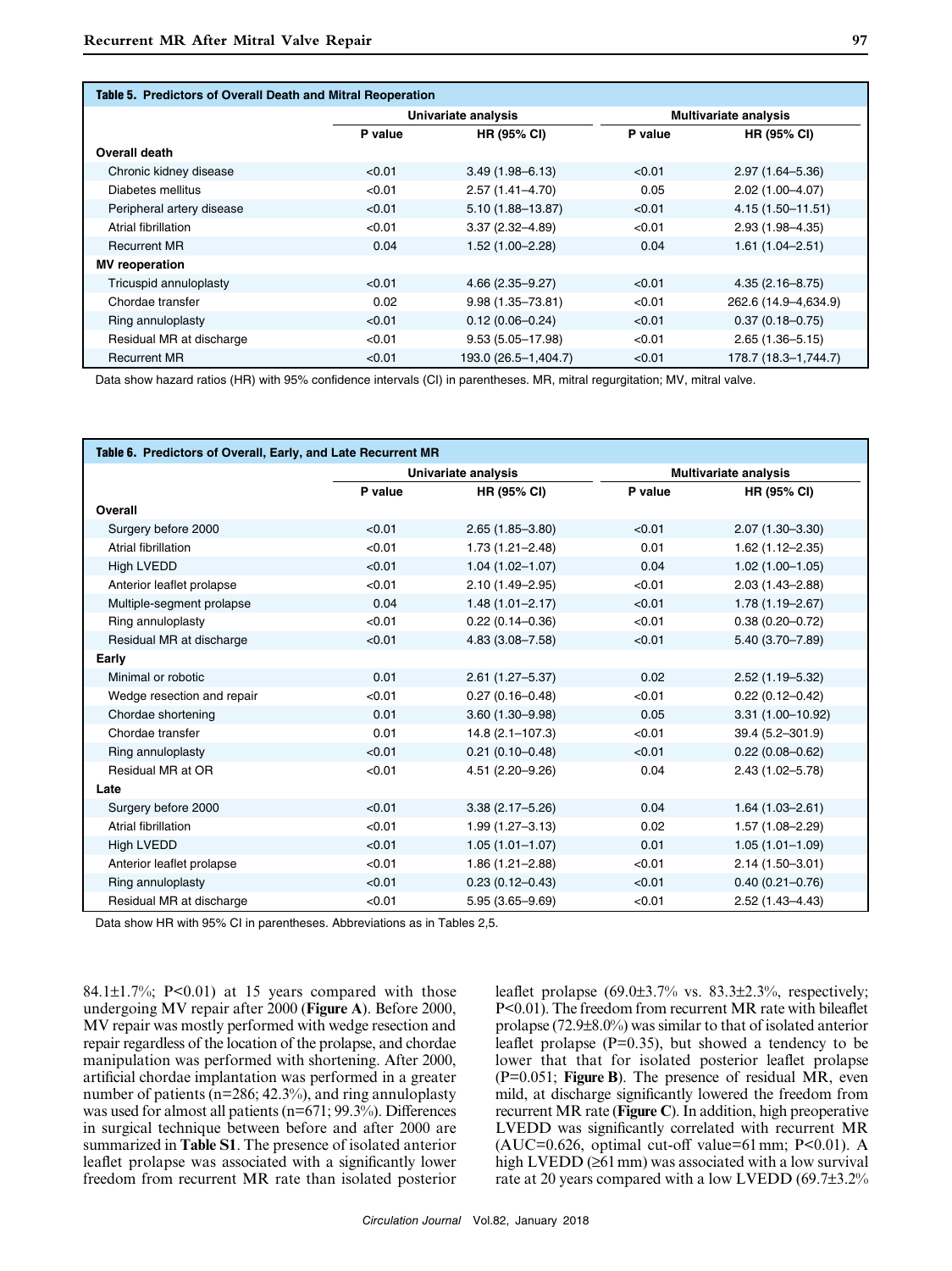| Table 5. Predictors of Overall Death and Mitral Reoperation |                               |                      |                              |                      |  |
|-------------------------------------------------------------|-------------------------------|----------------------|------------------------------|----------------------|--|
|                                                             | Univariate analysis           |                      | <b>Multivariate analysis</b> |                      |  |
|                                                             | <b>HR (95% CI)</b><br>P value |                      | P value                      | <b>HR (95% CI)</b>   |  |
| Overall death                                               |                               |                      |                              |                      |  |
| Chronic kidney disease                                      | < 0.01                        | $3.49(1.98 - 6.13)$  | < 0.01                       | 2.97 (1.64–5.36)     |  |
| Diabetes mellitus                                           | < 0.01                        | $2.57(1.41 - 4.70)$  | 0.05                         | $2.02(1.00 - 4.07)$  |  |
| Peripheral artery disease                                   | < 0.01                        | $5.10(1.88 - 13.87)$ | < 0.01                       | $4.15(1.50 - 11.51)$ |  |
| Atrial fibrillation                                         | < 0.01                        | $3.37(2.32 - 4.89)$  | < 0.01                       | $2.93(1.98 - 4.35)$  |  |
| <b>Recurrent MR</b>                                         | 0.04                          | $1.52(1.00 - 2.28)$  | 0.04                         | $1.61(1.04 - 2.51)$  |  |
| <b>MV</b> reoperation                                       |                               |                      |                              |                      |  |
| Tricuspid annuloplasty                                      | < 0.01                        | $4.66(2.35 - 9.27)$  | < 0.01                       | $4.35(2.16 - 8.75)$  |  |
| Chordae transfer                                            | 0.02                          | $9.98(1.35 - 73.81)$ | < 0.01                       | 262.6 (14.9-4,634.9) |  |
| Ring annuloplasty                                           | < 0.01                        | $0.12(0.06 - 0.24)$  | < 0.01                       | $0.37(0.18 - 0.75)$  |  |
| Residual MR at discharge                                    | < 0.01                        | $9.53(5.05 - 17.98)$ | < 0.01                       | $2.65(1.36 - 5.15)$  |  |
| <b>Recurrent MR</b>                                         | < 0.01                        | 193.0 (26.5-1,404.7) | < 0.01                       | 178.7 (18.3-1,744.7) |  |

Data show hazard ratios (HR) with 95% confidence intervals (CI) in parentheses. MR, mitral regurgitation; MV, mitral valve.

| Table 6. Predictors of Overall, Early, and Late Recurrent MR |                     |                     |                              |                     |  |
|--------------------------------------------------------------|---------------------|---------------------|------------------------------|---------------------|--|
|                                                              | Univariate analysis |                     | <b>Multivariate analysis</b> |                     |  |
|                                                              | P value             | <b>HR (95% CI)</b>  | P value                      | <b>HR (95% CI)</b>  |  |
| Overall                                                      |                     |                     |                              |                     |  |
| Surgery before 2000                                          | < 0.01              | $2.65(1.85 - 3.80)$ | < 0.01                       | $2.07(1.30 - 3.30)$ |  |
| Atrial fibrillation                                          | < 0.01              | $1.73(1.21 - 2.48)$ | 0.01                         | $1.62(1.12 - 2.35)$ |  |
| <b>High LVEDD</b>                                            | < 0.01              | $1.04(1.02 - 1.07)$ | 0.04                         | $1.02(1.00 - 1.05)$ |  |
| Anterior leaflet prolapse                                    | < 0.01              | $2.10(1.49 - 2.95)$ | < 0.01                       | $2.03(1.43 - 2.88)$ |  |
| Multiple-segment prolapse                                    | 0.04                | $1.48(1.01 - 2.17)$ | < 0.01                       | $1.78(1.19 - 2.67)$ |  |
| Ring annuloplasty                                            | < 0.01              | $0.22(0.14 - 0.36)$ | < 0.01                       | $0.38(0.20 - 0.72)$ |  |
| Residual MR at discharge                                     | < 0.01              | $4.83(3.08 - 7.58)$ | < 0.01                       | 5.40 (3.70-7.89)    |  |
| Early                                                        |                     |                     |                              |                     |  |
| Minimal or robotic                                           | 0.01                | $2.61(1.27 - 5.37)$ | 0.02                         | $2.52(1.19 - 5.32)$ |  |
| Wedge resection and repair                                   | < 0.01              | $0.27(0.16 - 0.48)$ | < 0.01                       | $0.22(0.12 - 0.42)$ |  |
| Chordae shortening                                           | 0.01                | $3.60(1.30 - 9.98)$ | 0.05                         | 3.31 (1.00-10.92)   |  |
| Chordae transfer                                             | 0.01                | $14.8(2.1 - 107.3)$ | < 0.01                       | 39.4 (5.2-301.9)    |  |
| Ring annuloplasty                                            | < 0.01              | $0.21(0.10 - 0.48)$ | < 0.01                       | $0.22(0.08 - 0.62)$ |  |
| Residual MR at OR                                            | < 0.01              | $4.51(2.20 - 9.26)$ | 0.04                         | $2.43(1.02 - 5.78)$ |  |
| Late                                                         |                     |                     |                              |                     |  |
| Surgery before 2000                                          | < 0.01              | $3.38(2.17 - 5.26)$ | 0.04                         | $1.64(1.03 - 2.61)$ |  |
| Atrial fibrillation                                          | < 0.01              | $1.99(1.27 - 3.13)$ | 0.02                         | $1.57(1.08 - 2.29)$ |  |
| <b>High LVEDD</b>                                            | < 0.01              | $1.05(1.01 - 1.07)$ | 0.01                         | $1.05(1.01 - 1.09)$ |  |
| Anterior leaflet prolapse                                    | < 0.01              | $1.86(1.21 - 2.88)$ | < 0.01                       | $2.14(1.50 - 3.01)$ |  |
| Ring annuloplasty                                            | < 0.01              | $0.23(0.12 - 0.43)$ | < 0.01                       | $0.40(0.21 - 0.76)$ |  |
| Residual MR at discharge                                     | < 0.01              | $5.95(3.65 - 9.69)$ | < 0.01                       | $2.52(1.43 - 4.43)$ |  |

Data show HR with 95% CI in parentheses. Abbreviations as in Tables 2,5.

84.1 $\pm$ 1.7%; P<0.01) at 15 years compared with those undergoing MV repair after 2000 (**Figure A**). Before 2000, MV repair was mostly performed with wedge resection and repair regardless of the location of the prolapse, and chordae manipulation was performed with shortening. After 2000, artificial chordae implantation was performed in a greater number of patients (n=286; 42.3%), and ring annuloplasty was used for almost all patients (n=671; 99.3%). Differences in surgical technique between before and after 2000 are summarized in **Table S1**. The presence of isolated anterior leaflet prolapse was associated with a significantly lower freedom from recurrent MR rate than isolated posterior leaflet prolapse  $(69.0\pm3.7\%$  vs.  $83.3\pm2.3\%$ , respectively; P<0.01). The freedom from recurrent MR rate with bileaflet prolapse (72.9±8.0%) was similar to that of isolated anterior leaflet prolapse (P=0.35), but showed a tendency to be lower that that for isolated posterior leaflet prolapse (P=0.051; **Figure B**). The presence of residual MR, even mild, at discharge significantly lowered the freedom from recurrent MR rate (**Figure C**). In addition, high preoperative LVEDD was significantly correlated with recurrent MR  $(AUC=0.626,$  optimal cut-off value=61mm; P<0.01). A high LVEDD (≥61mm) was associated with a low survival rate at 20 years compared with a low LVEDD (69.7±3.2%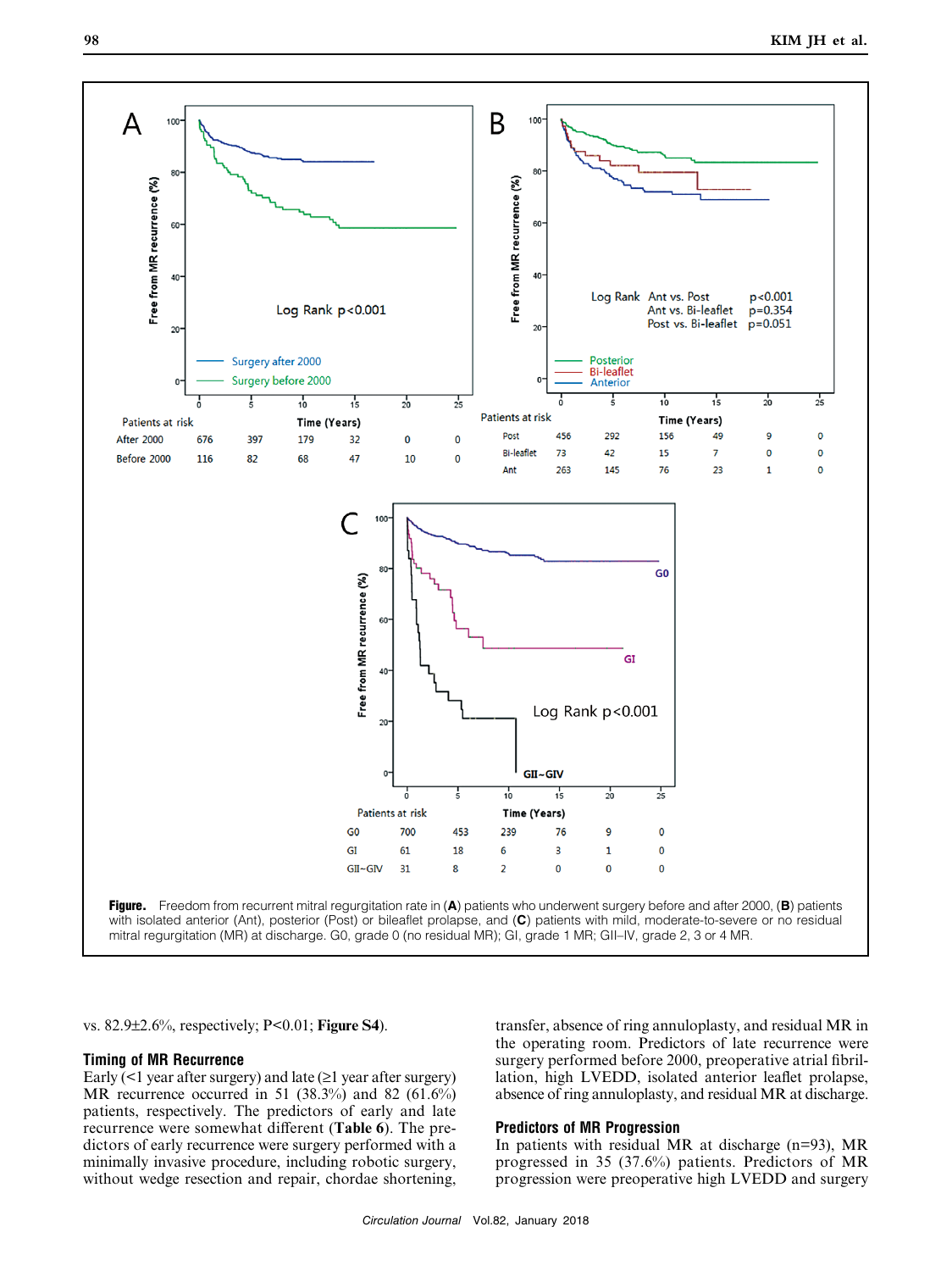

vs. 82.9±2.6%, respectively; P<0.01; **Figure S4**).

### **Timing of MR Recurrence**

Early (<1 year after surgery) and late  $(≥1$  year after surgery) MR recurrence occurred in 51 (38.3%) and 82 (61.6%) patients, respectively. The predictors of early and late recurrence were somewhat different (**Table 6**). The predictors of early recurrence were surgery performed with a minimally invasive procedure, including robotic surgery, without wedge resection and repair, chordae shortening,

transfer, absence of ring annuloplasty, and residual MR in the operating room. Predictors of late recurrence were surgery performed before 2000, preoperative atrial fibrillation, high LVEDD, isolated anterior leaflet prolapse, absence of ring annuloplasty, and residual MR at discharge.

# **Predictors of MR Progression**

In patients with residual MR at discharge (n=93), MR progressed in 35 (37.6%) patients. Predictors of MR progression were preoperative high LVEDD and surgery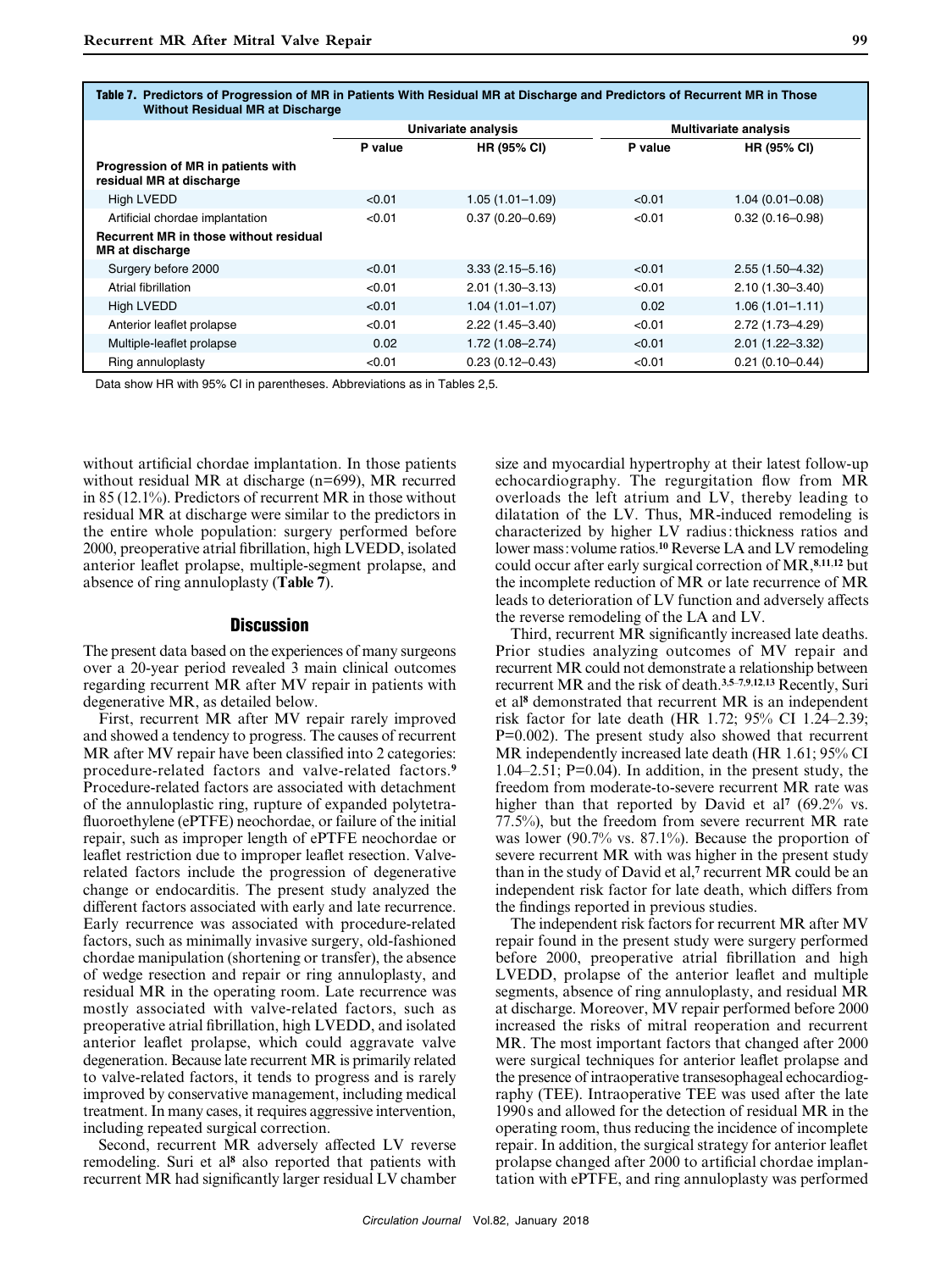| Table 7. Predictors of Progression of MR in Patients With Residual MR at Discharge and Predictors of Recurrent MR in Those<br><b>Without Residual MR at Discharge</b> |                               |                     |                              |                     |  |
|-----------------------------------------------------------------------------------------------------------------------------------------------------------------------|-------------------------------|---------------------|------------------------------|---------------------|--|
|                                                                                                                                                                       | Univariate analysis           |                     | <b>Multivariate analysis</b> |                     |  |
|                                                                                                                                                                       | <b>HR (95% CI)</b><br>P value |                     | P value                      | <b>HR (95% CI)</b>  |  |
| Progression of MR in patients with<br>residual MR at discharge                                                                                                        |                               |                     |                              |                     |  |
| <b>High LVEDD</b>                                                                                                                                                     | < 0.01                        | $1.05(1.01 - 1.09)$ | < 0.01                       | $1.04(0.01 - 0.08)$ |  |
| Artificial chordae implantation                                                                                                                                       | < 0.01                        | $0.37(0.20 - 0.69)$ | < 0.01                       | $0.32(0.16 - 0.98)$ |  |
| <b>Recurrent MR in those without residual</b><br><b>MR</b> at discharge                                                                                               |                               |                     |                              |                     |  |
| Surgery before 2000                                                                                                                                                   | < 0.01                        | $3.33(2.15 - 5.16)$ | < 0.01                       | $2.55(1.50 - 4.32)$ |  |
| Atrial fibrillation                                                                                                                                                   | < 0.01                        | $2.01(1.30 - 3.13)$ | < 0.01                       | $2.10(1.30 - 3.40)$ |  |
| <b>High LVEDD</b>                                                                                                                                                     | < 0.01                        | $1.04(1.01 - 1.07)$ | 0.02                         | $1.06(1.01 - 1.11)$ |  |
| Anterior leaflet prolapse                                                                                                                                             | < 0.01                        | $2.22(1.45 - 3.40)$ | < 0.01                       | 2.72 (1.73-4.29)    |  |
| Multiple-leaflet prolapse                                                                                                                                             | 0.02                          | $1.72(1.08 - 2.74)$ | < 0.01                       | $2.01(1.22 - 3.32)$ |  |
| Ring annuloplasty                                                                                                                                                     | < 0.01                        | $0.23(0.12 - 0.43)$ | < 0.01                       | $0.21(0.10 - 0.44)$ |  |

Data show HR with 95% CI in parentheses. Abbreviations as in Tables 2,5.

without artificial chordae implantation. In those patients without residual MR at discharge (n=699), MR recurred in 85 (12.1%). Predictors of recurrent MR in those without residual MR at discharge were similar to the predictors in the entire whole population: surgery performed before 2000, preoperative atrial fibrillation, high LVEDD, isolated anterior leaflet prolapse, multiple-segment prolapse, and absence of ring annuloplasty (**Table 7**).

## **Discussion**

The present data based on the experiences of many surgeons over a 20-year period revealed 3 main clinical outcomes regarding recurrent MR after MV repair in patients with degenerative MR, as detailed below.

First, recurrent MR after MV repair rarely improved and showed a tendency to progress. The causes of recurrent MR after MV repair have been classified into 2 categories: procedure-related factors and valve-related factors.**<sup>9</sup>** Procedure-related factors are associated with detachment of the annuloplastic ring, rupture of expanded polytetrafluoroethylene (ePTFE) neochordae, or failure of the initial repair, such as improper length of ePTFE neochordae or leaflet restriction due to improper leaflet resection. Valverelated factors include the progression of degenerative change or endocarditis. The present study analyzed the different factors associated with early and late recurrence. Early recurrence was associated with procedure-related factors, such as minimally invasive surgery, old-fashioned chordae manipulation (shortening or transfer), the absence of wedge resection and repair or ring annuloplasty, and residual MR in the operating room. Late recurrence was mostly associated with valve-related factors, such as preoperative atrial fibrillation, high LVEDD, and isolated anterior leaflet prolapse, which could aggravate valve degeneration. Because late recurrent MR is primarily related to valve-related factors, it tends to progress and is rarely improved by conservative management, including medical treatment. In many cases, it requires aggressive intervention, including repeated surgical correction.

Second, recurrent MR adversely affected LV reverse remodeling. Suri et al**<sup>8</sup>** also reported that patients with recurrent MR had significantly larger residual LV chamber size and myocardial hypertrophy at their latest follow-up echocardiography. The regurgitation flow from MR overloads the left atrium and LV, thereby leading to dilatation of the LV. Thus, MR-induced remodeling is characterized by higher LV radius:thickness ratios and lower mass:volume ratios.**<sup>10</sup>** Reverse LA and LV remodeling could occur after early surgical correction of MR,**<sup>8</sup>**,**11**,**<sup>12</sup>** but the incomplete reduction of MR or late recurrence of MR leads to deterioration of LV function and adversely affects the reverse remodeling of the LA and LV.

Third, recurrent MR significantly increased late deaths. Prior studies analyzing outcomes of MV repair and recurrent MR could not demonstrate a relationship between recurrent MR and the risk of death.**<sup>3</sup>**,**5**–**7**,**9**,**12**,**<sup>13</sup>** Recently, Suri et al**<sup>8</sup>** demonstrated that recurrent MR is an independent risk factor for late death (HR 1.72; 95% CI 1.24–2.39; P=0.002). The present study also showed that recurrent MR independently increased late death (HR 1.61; 95% CI  $1.04-2.51$ ; P=0.04). In addition, in the present study, the freedom from moderate-to-severe recurrent MR rate was higher than that reported by David et al<sup>7</sup> (69.2% vs. 77.5%), but the freedom from severe recurrent MR rate was lower (90.7% vs. 87.1%). Because the proportion of severe recurrent MR with was higher in the present study than in the study of David et al,**<sup>7</sup>** recurrent MR could be an independent risk factor for late death, which differs from the findings reported in previous studies.

The independent risk factors for recurrent MR after MV repair found in the present study were surgery performed before 2000, preoperative atrial fibrillation and high LVEDD, prolapse of the anterior leaflet and multiple segments, absence of ring annuloplasty, and residual MR at discharge. Moreover, MV repair performed before 2000 increased the risks of mitral reoperation and recurrent MR. The most important factors that changed after 2000 were surgical techniques for anterior leaflet prolapse and the presence of intraoperative transesophageal echocardiography (TEE). Intraoperative TEE was used after the late 1990s and allowed for the detection of residual MR in the operating room, thus reducing the incidence of incomplete repair. In addition, the surgical strategy for anterior leaflet prolapse changed after 2000 to artificial chordae implantation with ePTFE, and ring annuloplasty was performed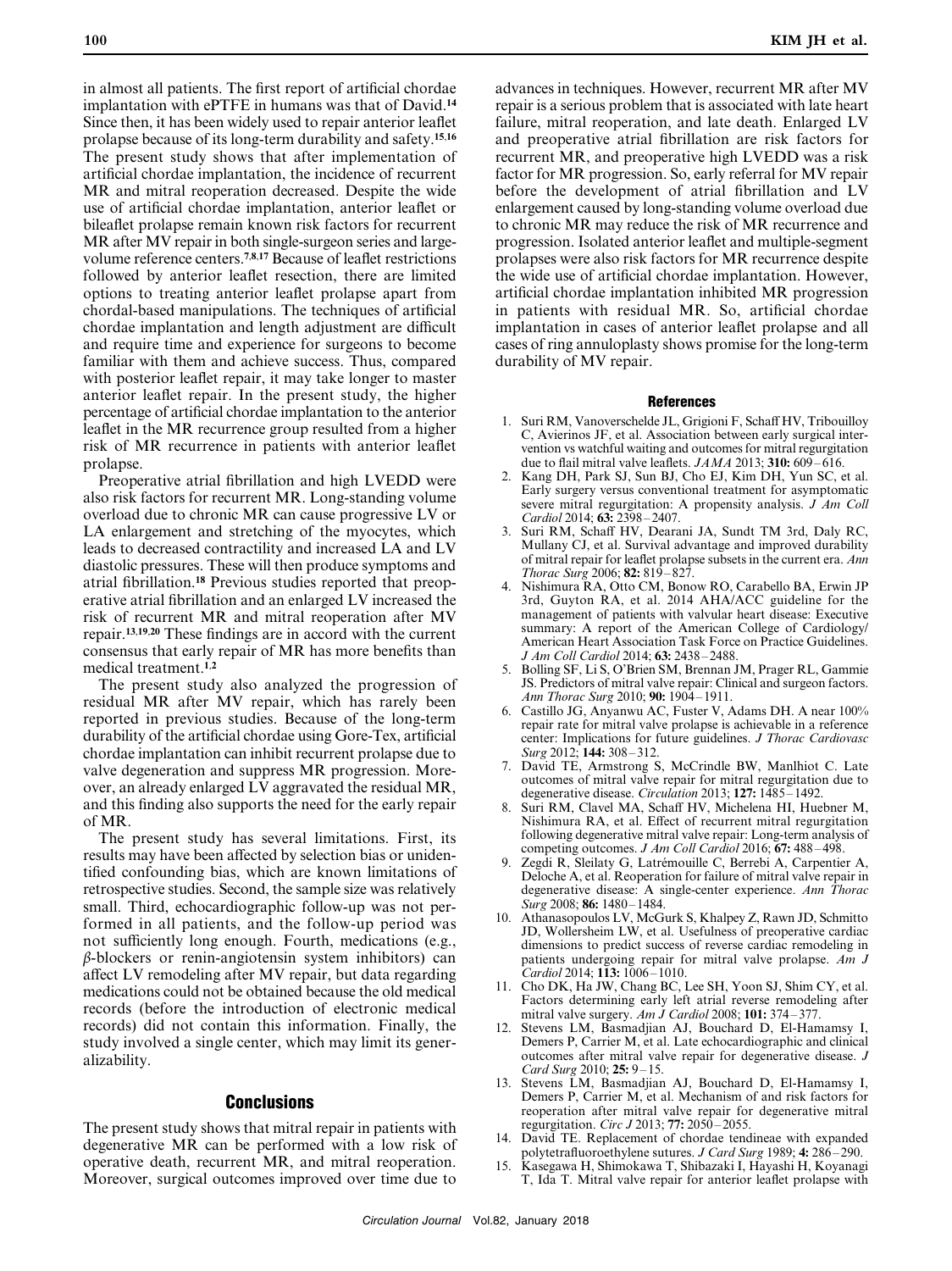in almost all patients. The first report of artificial chordae implantation with ePTFE in humans was that of David.**<sup>14</sup>** Since then, it has been widely used to repair anterior leaflet prolapse because of its long-term durability and safety.**<sup>15</sup>**,**<sup>16</sup>** The present study shows that after implementation of artificial chordae implantation, the incidence of recurrent MR and mitral reoperation decreased. Despite the wide use of artificial chordae implantation, anterior leaflet or bileaflet prolapse remain known risk factors for recurrent MR after MV repair in both single-surgeon series and largevolume reference centers.**<sup>7</sup>**,**8**,**<sup>17</sup>** Because of leaflet restrictions followed by anterior leaflet resection, there are limited options to treating anterior leaflet prolapse apart from chordal-based manipulations. The techniques of artificial chordae implantation and length adjustment are difficult and require time and experience for surgeons to become familiar with them and achieve success. Thus, compared with posterior leaflet repair, it may take longer to master anterior leaflet repair. In the present study, the higher percentage of artificial chordae implantation to the anterior leaflet in the MR recurrence group resulted from a higher risk of MR recurrence in patients with anterior leaflet prolapse.

Preoperative atrial fibrillation and high LVEDD were also risk factors for recurrent MR. Long-standing volume overload due to chronic MR can cause progressive LV or LA enlargement and stretching of the myocytes, which leads to decreased contractility and increased LA and LV diastolic pressures. These will then produce symptoms and atrial fibrillation.**18** Previous studies reported that preoperative atrial fibrillation and an enlarged LV increased the risk of recurrent MR and mitral reoperation after MV repair.**<sup>13</sup>**,**19**,**<sup>20</sup>** These findings are in accord with the current consensus that early repair of MR has more benefits than medical treatment.**<sup>1</sup>**,**<sup>2</sup>**

The present study also analyzed the progression of residual MR after MV repair, which has rarely been reported in previous studies. Because of the long-term durability of the artificial chordae using Gore-Tex, artificial chordae implantation can inhibit recurrent prolapse due to valve degeneration and suppress MR progression. Moreover, an already enlarged LV aggravated the residual MR, and this finding also supports the need for the early repair of MR.

The present study has several limitations. First, its results may have been affected by selection bias or unidentified confounding bias, which are known limitations of retrospective studies. Second, the sample size was relatively small. Third, echocardiographic follow-up was not performed in all patients, and the follow-up period was not sufficiently long enough. Fourth, medications (e.g., *β*-blockers or renin-angiotensin system inhibitors) can affect LV remodeling after MV repair, but data regarding medications could not be obtained because the old medical records (before the introduction of electronic medical records) did not contain this information. Finally, the study involved a single center, which may limit its generalizability.

#### **Conclusions**

The present study shows that mitral repair in patients with degenerative MR can be performed with a low risk of operative death, recurrent MR, and mitral reoperation. Moreover, surgical outcomes improved over time due to advances in techniques. However, recurrent MR after MV repair is a serious problem that is associated with late heart failure, mitral reoperation, and late death. Enlarged LV and preoperative atrial fibrillation are risk factors for recurrent MR, and preoperative high LVEDD was a risk factor for MR progression. So, early referral for MV repair before the development of atrial fibrillation and LV enlargement caused by long-standing volume overload due to chronic MR may reduce the risk of MR recurrence and progression. Isolated anterior leaflet and multiple-segment prolapses were also risk factors for MR recurrence despite the wide use of artificial chordae implantation. However, artificial chordae implantation inhibited MR progression in patients with residual MR. So, artificial chordae implantation in cases of anterior leaflet prolapse and all cases of ring annuloplasty shows promise for the long-term durability of MV repair.

#### References

- 1. Suri RM, Vanoverschelde JL, Grigioni F, Schaff HV, Tribouilloy C, Avierinos JF, et al. Association between early surgical intervention vs watchful waiting and outcomes for mitral regurgitation due to flail mitral valve leaflets. *JAMA* 2013; **310:** 609–616.
- 2. Kang DH, Park SJ, Sun BJ, Cho EJ, Kim DH, Yun SC, et al. Early surgery versus conventional treatment for asymptomatic severe mitral regurgitation: A propensity analysis. *J Am Coll Cardiol* 2014; **63:** 2398–2407.
- 3. Suri RM, Schaff HV, Dearani JA, Sundt TM 3rd, Daly RC, Mullany CJ, et al. Survival advantage and improved durability of mitral repair for leaflet prolapse subsets in the current era. *Ann Thorac Surg* 2006; **82:** 819–827.
- 4. Nishimura RA, Otto CM, Bonow RO, Carabello BA, Erwin JP 3rd, Guyton RA, et al. 2014 AHA/ACC guideline for the management of patients with valvular heart disease: Executive summary: A report of the American College of Cardiology/ American Heart Association Task Force on Practice Guidelines. *J Am Coll Cardiol* 2014; **63:** 2438–2488.
- 5. Bolling SF, Li S, O'Brien SM, Brennan JM, Prager RL, Gammie JS. Predictors of mitral valve repair: Clinical and surgeon factors. *Ann Thorac Surg* 2010; **90:** 1904–1911.
- 6. Castillo JG, Anyanwu AC, Fuster V, Adams DH. A near 100% repair rate for mitral valve prolapse is achievable in a reference center: Implications for future guidelines. *J Thorac Cardiovasc Surg* 2012; **144:** 308–312.
- 7. David TE, Armstrong S, McCrindle BW, Manlhiot C. Late outcomes of mitral valve repair for mitral regurgitation due to degenerative disease. *Circulation* 2013; **127:** 1485–1492.
- 8. Suri RM, Clavel MA, Schaff HV, Michelena HI, Huebner M, Nishimura RA, et al. Effect of recurrent mitral regurgitation following degenerative mitral valve repair: Long-term analysis of competing outcomes. *J Am Coll Cardiol* 2016; **67:** 488–498.
- 9. Zegdi R, Sleilaty G, Latrémouille C, Berrebi A, Carpentier A, Deloche A, et al. Reoperation for failure of mitral valve repair in degenerative disease: A single-center experience. *Ann Thorac Surg* 2008; **86:** 1480–1484.
- 10. Athanasopoulos LV, McGurk S, Khalpey Z, Rawn JD, Schmitto JD, Wollersheim LW, et al. Usefulness of preoperative cardiac dimensions to predict success of reverse cardiac remodeling in patients undergoing repair for mitral valve prolapse. *Am J Cardiol* 2014; **113:** 1006–1010.
- 11. Cho DK, Ha JW, Chang BC, Lee SH, Yoon SJ, Shim CY, et al. Factors determining early left atrial reverse remodeling after mitral valve surgery. *Am J Cardiol* 2008; **101:** 374–377.
- 12. Stevens LM, Basmadjian AJ, Bouchard D, El-Hamamsy I, Demers P, Carrier M, et al. Late echocardiographic and clinical outcomes after mitral valve repair for degenerative disease. *J Card Surg* 2010; **25:** 9–15.
- 13. Stevens LM, Basmadjian AJ, Bouchard D, El-Hamamsy I, Demers P, Carrier M, et al. Mechanism of and risk factors for reoperation after mitral valve repair for degenerative mitral regurgitation. *Circ J* 2013; **77:** 2050–2055.
- 14. David TE. Replacement of chordae tendineae with expanded polytetrafluoroethylene sutures. *J Card Surg* 1989; **4:** 286–290.
- 15. Kasegawa H, Shimokawa T, Shibazaki I, Hayashi H, Koyanagi T, Ida T. Mitral valve repair for anterior leaflet prolapse with